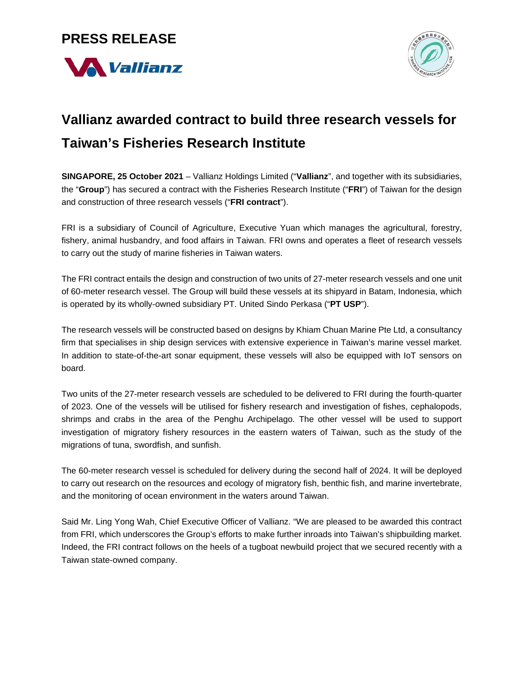### **PRESS RELEASE**





# **Vallianz awarded contract to build three research vessels for Taiwan's Fisheries Research Institute**

**SINGAPORE, 25 October 2021** – Vallianz Holdings Limited ("**Vallianz**", and together with its subsidiaries, the "**Group**") has secured a contract with the Fisheries Research Institute ("**FRI**") of Taiwan for the design and construction of three research vessels ("**FRI contract**").

FRI is a subsidiary of Council of Agriculture, Executive Yuan which manages the agricultural, forestry, fishery, animal husbandry, and food affairs in Taiwan. FRI owns and operates a fleet of research vessels to carry out the study of marine fisheries in Taiwan waters.

The FRI contract entails the design and construction of two units of 27-meter research vessels and one unit of 60-meter research vessel. The Group will build these vessels at its shipyard in Batam, Indonesia, which is operated by its wholly-owned subsidiary PT. United Sindo Perkasa ("**PT USP**").

The research vessels will be constructed based on designs by Khiam Chuan Marine Pte Ltd, a consultancy firm that specialises in ship design services with extensive experience in Taiwan's marine vessel market. In addition to state-of-the-art sonar equipment, these vessels will also be equipped with IoT sensors on board.

Two units of the 27-meter research vessels are scheduled to be delivered to FRI during the fourth-quarter of 2023. One of the vessels will be utilised for fishery research and investigation of fishes, cephalopods, shrimps and crabs in the area of the Penghu Archipelago. The other vessel will be used to support investigation of migratory fishery resources in the eastern waters of Taiwan, such as the study of the migrations of tuna, swordfish, and sunfish.

The 60-meter research vessel is scheduled for delivery during the second half of 2024. It will be deployed to carry out research on the resources and ecology of migratory fish, benthic fish, and marine invertebrate, and the monitoring of ocean environment in the waters around Taiwan.

Said Mr. Ling Yong Wah, Chief Executive Officer of Vallianz. "We are pleased to be awarded this contract from FRI, which underscores the Group's efforts to make further inroads into Taiwan's shipbuilding market. Indeed, the FRI contract follows on the heels of a tugboat newbuild project that we secured recently with a Taiwan state-owned company.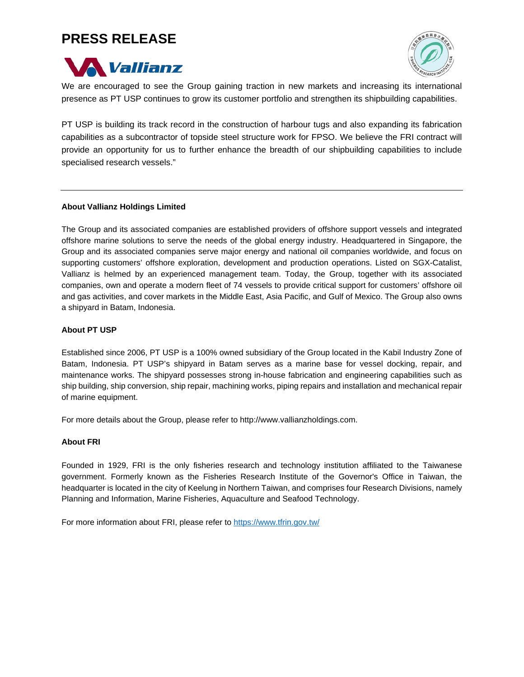## **PRESS RELEASE**





We are encouraged to see the Group gaining traction in new markets and increasing its international presence as PT USP continues to grow its customer portfolio and strengthen its shipbuilding capabilities.

PT USP is building its track record in the construction of harbour tugs and also expanding its fabrication capabilities as a subcontractor of topside steel structure work for FPSO. We believe the FRI contract will provide an opportunity for us to further enhance the breadth of our shipbuilding capabilities to include specialised research vessels."

### **About Vallianz Holdings Limited**

The Group and its associated companies are established providers of offshore support vessels and integrated offshore marine solutions to serve the needs of the global energy industry. Headquartered in Singapore, the Group and its associated companies serve major energy and national oil companies worldwide, and focus on supporting customers' offshore exploration, development and production operations. Listed on SGX-Catalist, Vallianz is helmed by an experienced management team. Today, the Group, together with its associated companies, own and operate a modern fleet of 74 vessels to provide critical support for customers' offshore oil and gas activities, and cover markets in the Middle East, Asia Pacific, and Gulf of Mexico. The Group also owns a shipyard in Batam, Indonesia.

#### **About PT USP**

Established since 2006, PT USP is a 100% owned subsidiary of the Group located in the Kabil Industry Zone of Batam, Indonesia. PT USP's shipyard in Batam serves as a marine base for vessel docking, repair, and maintenance works. The shipyard possesses strong in-house fabrication and engineering capabilities such as ship building, ship conversion, ship repair, machining works, piping repairs and installation and mechanical repair of marine equipment.

For more details about the Group, please refer to [http://www.vallianzholdings.com.](http://www.vallianzholdings.com/)

#### **About FRI**

Founded in 1929, FRI is the only fisheries research and technology institution affiliated to the Taiwanese government. Formerly known as the Fisheries Research Institute of the Governor's Office in Taiwan, the headquarter is located in the city of Keelung in Northern Taiwan, and comprises four Research Divisions, namely Planning and Information, Marine Fisheries, Aquaculture and Seafood Technology.

For more information about FRI, please refer to<https://www.tfrin.gov.tw/>